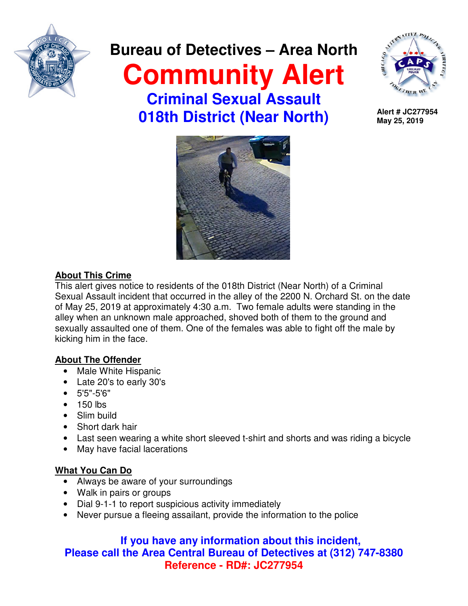

# **Bureau of Detectives – Area North Community Alert Criminal Sexual Assault 018th District (Near North)**



**Alert # JC277954 May 25, 2019**



## **About This Crime**

This alert gives notice to residents of the 018th District (Near North) of a Criminal Sexual Assault incident that occurred in the alley of the 2200 N. Orchard St. on the date of May 25, 2019 at approximately 4:30 a.m. Two female adults were standing in the alley when an unknown male approached, shoved both of them to the ground and sexually assaulted one of them. One of the females was able to fight off the male by kicking him in the face.

## **About The Offender**

- Male White Hispanic
- Late 20's to early 30's
- 5'5"-5'6"
- 150 lbs
- Slim build
- Short dark hair
- Last seen wearing a white short sleeved t-shirt and shorts and was riding a bicycle
- May have facial lacerations

## **What You Can Do**

- Always be aware of your surroundings
- Walk in pairs or groups
- Dial 9-1-1 to report suspicious activity immediately
- Never pursue a fleeing assailant, provide the information to the police

## **If you have any information about this incident, Please call the Area Central Bureau of Detectives at (312) 747-8380 Reference - RD#: JC277954**